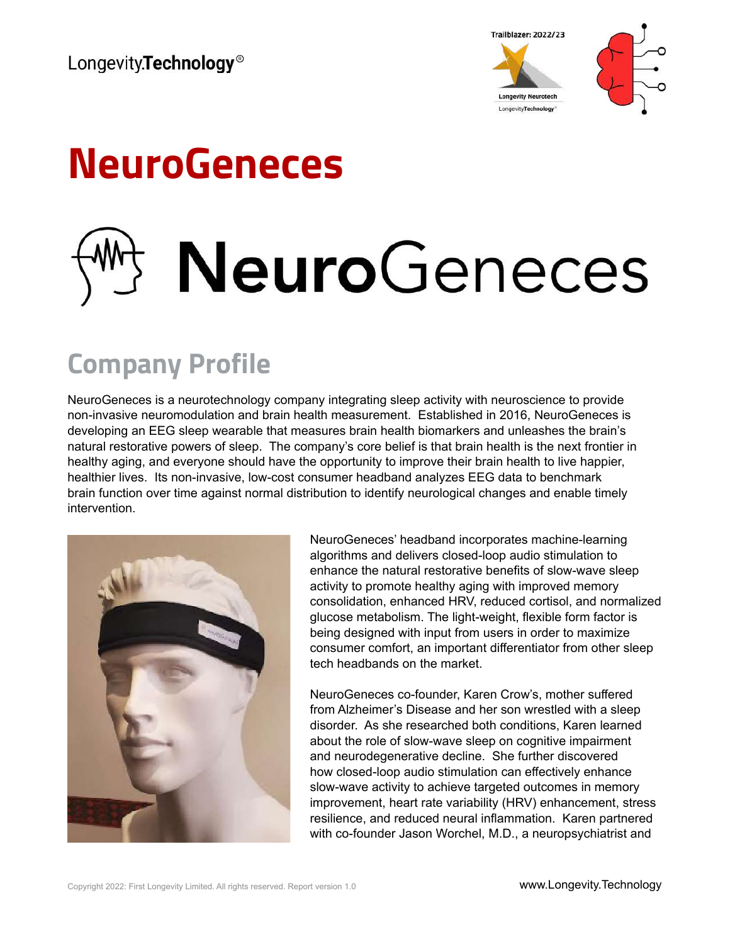

## **NeuroGeneces**

# NeuroGeneces

#### **Company Profile**

NeuroGeneces is a neurotechnology company integrating sleep activity with neuroscience to provide non-invasive neuromodulation and brain health measurement. Established in 2016, NeuroGeneces is developing an EEG sleep wearable that measures brain health biomarkers and unleashes the brain's natural restorative powers of sleep. The company's core belief is that brain health is the next frontier in healthy aging, and everyone should have the opportunity to improve their brain health to live happier, healthier lives. Its non-invasive, low-cost consumer headband analyzes EEG data to benchmark brain function over time against normal distribution to identify neurological changes and enable timely intervention.



NeuroGeneces' headband incorporates machine-learning algorithms and delivers closed-loop audio stimulation to enhance the natural restorative benefits of slow-wave sleep activity to promote healthy aging with improved memory consolidation, enhanced HRV, reduced cortisol, and normalized glucose metabolism. The light-weight, flexible form factor is being designed with input from users in order to maximize consumer comfort, an important differentiator from other sleep tech headbands on the market.

NeuroGeneces co-founder, Karen Crow's, mother suffered from Alzheimer's Disease and her son wrestled with a sleep disorder. As she researched both conditions, Karen learned about the role of slow-wave sleep on cognitive impairment and neurodegenerative decline. She further discovered how closed-loop audio stimulation can effectively enhance slow-wave activity to achieve targeted outcomes in memory improvement, heart rate variability (HRV) enhancement, stress resilience, and reduced neural inflammation. Karen partnered with co-founder Jason Worchel, M.D., a neuropsychiatrist and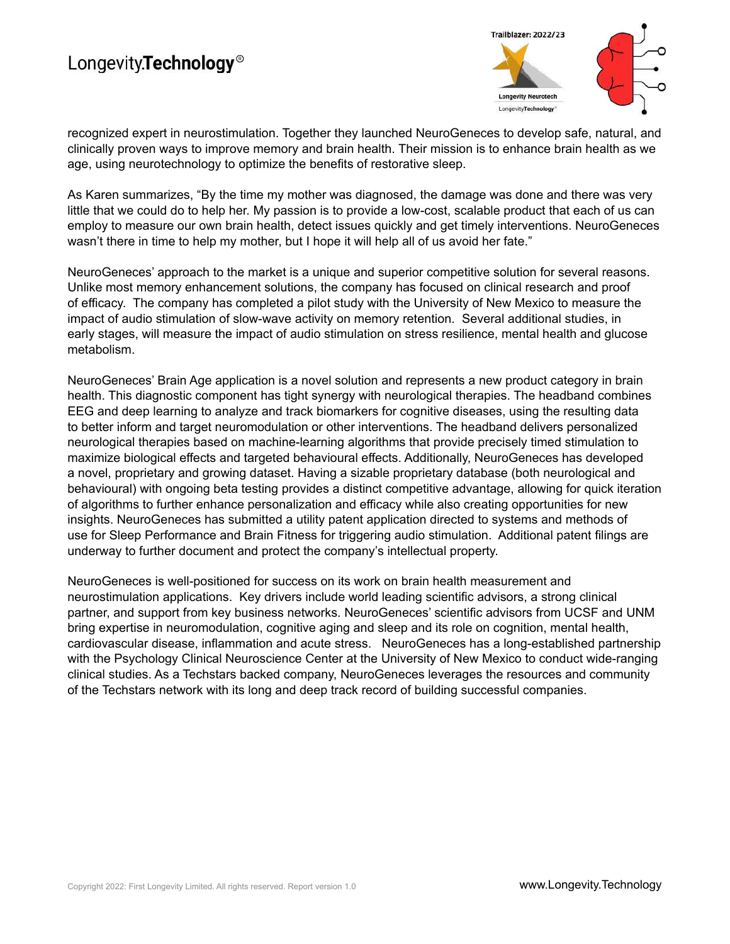#### Longevity.Technology<sup>®</sup>



recognized expert in neurostimulation. Together they launched NeuroGeneces to develop safe, natural, and clinically proven ways to improve memory and brain health. Their mission is to enhance brain health as we age, using neurotechnology to optimize the benefits of restorative sleep.

As Karen summarizes, "By the time my mother was diagnosed, the damage was done and there was very little that we could do to help her. My passion is to provide a low-cost, scalable product that each of us can employ to measure our own brain health, detect issues quickly and get timely interventions. NeuroGeneces wasn't there in time to help my mother, but I hope it will help all of us avoid her fate."

NeuroGeneces' approach to the market is a unique and superior competitive solution for several reasons. Unlike most memory enhancement solutions, the company has focused on clinical research and proof of efficacy. The company has completed a pilot study with the University of New Mexico to measure the impact of audio stimulation of slow-wave activity on memory retention. Several additional studies, in early stages, will measure the impact of audio stimulation on stress resilience, mental health and glucose metabolism.

NeuroGeneces' Brain Age application is a novel solution and represents a new product category in brain health. This diagnostic component has tight synergy with neurological therapies. The headband combines EEG and deep learning to analyze and track biomarkers for cognitive diseases, using the resulting data to better inform and target neuromodulation or other interventions. The headband delivers personalized neurological therapies based on machine-learning algorithms that provide precisely timed stimulation to maximize biological effects and targeted behavioural effects. Additionally, NeuroGeneces has developed a novel, proprietary and growing dataset. Having a sizable proprietary database (both neurological and behavioural) with ongoing beta testing provides a distinct competitive advantage, allowing for quick iteration of algorithms to further enhance personalization and efficacy while also creating opportunities for new insights. NeuroGeneces has submitted a utility patent application directed to systems and methods of use for Sleep Performance and Brain Fitness for triggering audio stimulation. Additional patent filings are underway to further document and protect the company's intellectual property.

NeuroGeneces is well-positioned for success on its work on brain health measurement and neurostimulation applications. Key drivers include world leading scientific advisors, a strong clinical partner, and support from key business networks. NeuroGeneces' scientific advisors from UCSF and UNM bring expertise in neuromodulation, cognitive aging and sleep and its role on cognition, mental health, cardiovascular disease, inflammation and acute stress. NeuroGeneces has a long-established partnership with the Psychology Clinical Neuroscience Center at the University of New Mexico to conduct wide-ranging clinical studies. As a Techstars backed company, NeuroGeneces leverages the resources and community of the Techstars network with its long and deep track record of building successful companies.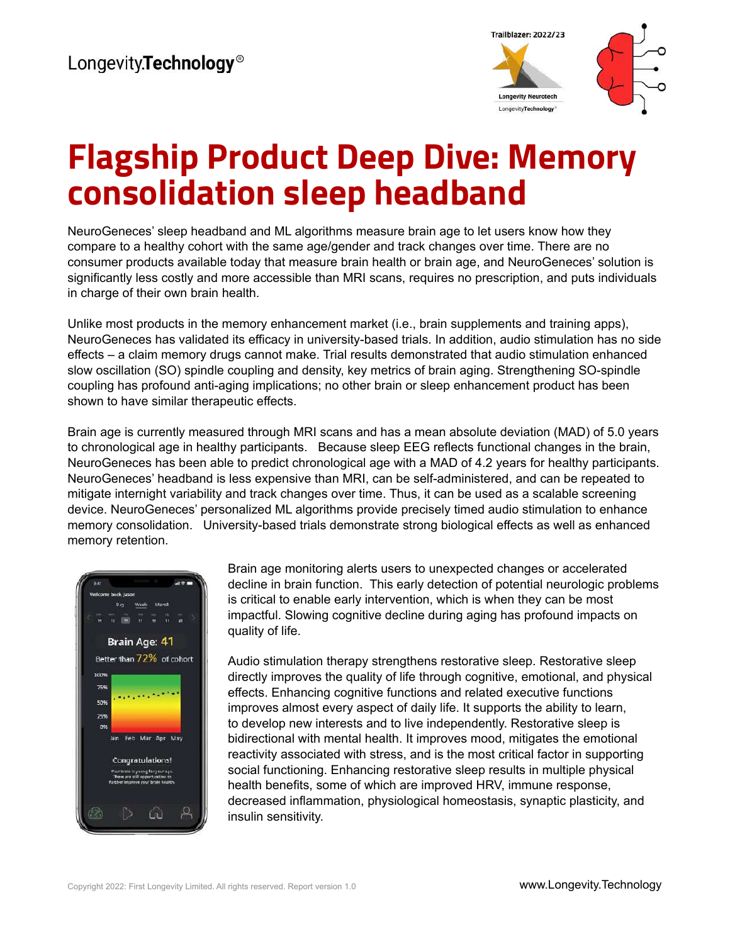

### **Flagship Product Deep Dive: Memory consolidation sleep headband**

NeuroGeneces' sleep headband and ML algorithms measure brain age to let users know how they compare to a healthy cohort with the same age/gender and track changes over time. There are no consumer products available today that measure brain health or brain age, and NeuroGeneces' solution is significantly less costly and more accessible than MRI scans, requires no prescription, and puts individuals in charge of their own brain health.

Unlike most products in the memory enhancement market (i.e., brain supplements and training apps), NeuroGeneces has validated its efficacy in university-based trials. In addition, audio stimulation has no side effects – a claim memory drugs cannot make. Trial results demonstrated that audio stimulation enhanced slow oscillation (SO) spindle coupling and density, key metrics of brain aging. Strengthening SO-spindle coupling has profound anti-aging implications; no other brain or sleep enhancement product has been shown to have similar therapeutic effects.

Brain age is currently measured through MRI scans and has a mean absolute deviation (MAD) of 5.0 years to chronological age in healthy participants. Because sleep EEG reflects functional changes in the brain, NeuroGeneces has been able to predict chronological age with a MAD of 4.2 years for healthy participants. NeuroGeneces' headband is less expensive than MRI, can be self-administered, and can be repeated to mitigate internight variability and track changes over time. Thus, it can be used as a scalable screening device. NeuroGeneces' personalized ML algorithms provide precisely timed audio stimulation to enhance memory consolidation. University-based trials demonstrate strong biological effects as well as enhanced memory retention.



Brain age monitoring alerts users to unexpected changes or accelerated decline in brain function. This early detection of potential neurologic problems is critical to enable early intervention, which is when they can be most impactful. Slowing cognitive decline during aging has profound impacts on quality of life.

Audio stimulation therapy strengthens restorative sleep. Restorative sleep directly improves the quality of life through cognitive, emotional, and physical effects. Enhancing cognitive functions and related executive functions improves almost every aspect of daily life. It supports the ability to learn, to develop new interests and to live independently. Restorative sleep is bidirectional with mental health. It improves mood, mitigates the emotional reactivity associated with stress, and is the most critical factor in supporting social functioning. Enhancing restorative sleep results in multiple physical health benefits, some of which are improved HRV, immune response, decreased inflammation, physiological homeostasis, synaptic plasticity, and insulin sensitivity.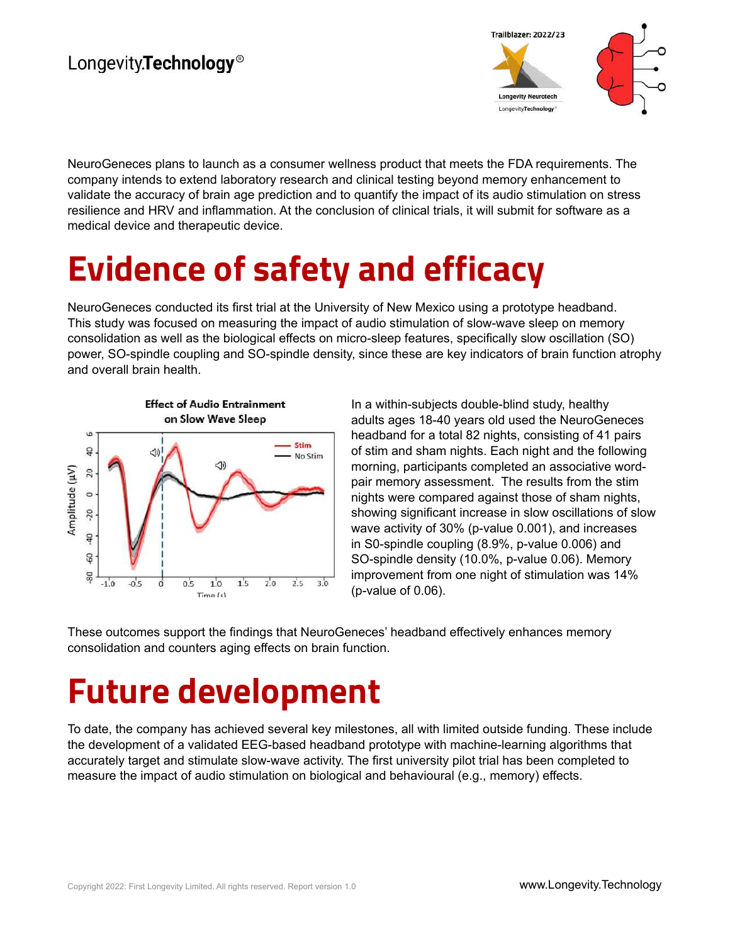

NeuroGeneces plans to launch as a consumer wellness product that meets the FDA requirements. The company intends to extend laboratory research and clinical testing beyond memory enhancement to validate the accuracy of brain age prediction and to quantify the impact of its audio stimulation on stress resilience and HRV and inflammation. At the conclusion of clinical trials, it will submit for software as a medical device and therapeutic device.

## **Evidence of safety and efficacy**

NeuroGeneces conducted its first trial at the University of New Mexico using a prototype headband. This study was focused on measuring the impact of audio stimulation of slow-wave sleep on memory consolidation as well as the biological effects on micro-sleep features, specifically slow oscillation (SO) power, SO-spindle coupling and SO-spindle density, since these are key indicators of brain function atrophy and overall brain health.



In a within-subjects double-blind study, healthy adults ages 18-40 years old used the NeuroGeneces headband for a total 82 nights, consisting of 41 pairs of stim and sham nights. Each night and the following morning, participants completed an associative wordpair memory assessment. The results from the stim nights were compared against those of sham nights, showing significant increase in slow oscillations of slow wave activity of 30% (p-value 0.001), and increases in S0-spindle coupling (8.9%, p-value 0.006) and SO-spindle density (10.0%, p-value 0.06). Memory improvement from one night of stimulation was 14% (p-value of 0.06).

These outcomes support the findings that NeuroGeneces' headband effectively enhances memory consolidation and counters aging effects on brain function.

## **Future development**

To date, the company has achieved several key milestones, all with limited outside funding. These include the development of a validated EEG-based headband prototype with machine-learning algorithms that accurately target and stimulate slow-wave activity. The first university pilot trial has been completed to measure the impact of audio stimulation on biological and behavioural (e.g., memory) effects.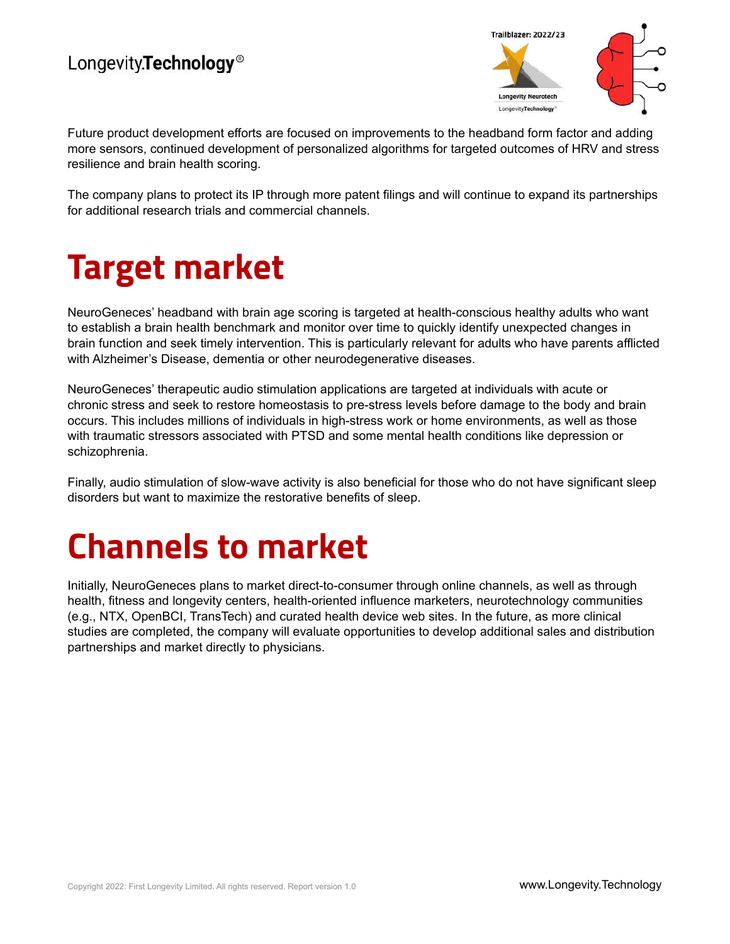#### Longevity.Technology<sup>®</sup>



Future product development efforts are focused on improvements to the headband form factor and adding more sensors, continued development of personalized algorithms for targeted outcomes of HRV and stress resilience and brain health scoring.

The company plans to protect its IP through more patent filings and will continue to expand its partnerships for additional research trials and commercial channels.

## **Target market**

NeuroGeneces' headband with brain age scoring is targeted at health-conscious healthy adults who want to establish a brain health benchmark and monitor over time to quickly identify unexpected changes in brain function and seek timely intervention. This is particularly relevant for adults who have parents afflicted with Alzheimer's Disease, dementia or other neurodegenerative diseases.

NeuroGeneces' therapeutic audio stimulation applications are targeted at individuals with acute or chronic stress and seek to restore homeostasis to pre-stress levels before damage to the body and brain occurs. This includes millions of individuals in high-stress work or home environments, as well as those with traumatic stressors associated with PTSD and some mental health conditions like depression or schizophrenia.

Finally, audio stimulation of slow-wave activity is also beneficial for those who do not have significant sleep disorders but want to maximize the restorative benefits of sleep.

## **Channels to market**

Initially, NeuroGeneces plans to market direct-to-consumer through online channels, as well as through health, fitness and longevity centers, health-oriented influence marketers, neurotechnology communities (e.g., NTX, OpenBCI, TransTech) and curated health device web sites. In the future, as more clinical studies are completed, the company will evaluate opportunities to develop additional sales and distribution partnerships and market directly to physicians.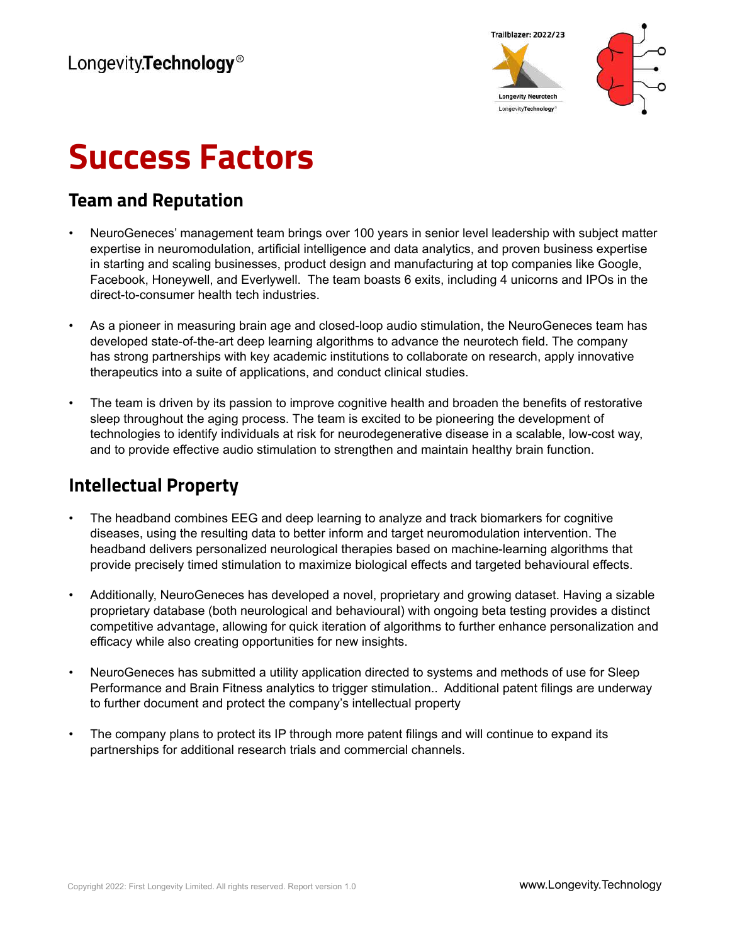

## **Success Factors**

#### **Team and Reputation**

- NeuroGeneces' management team brings over 100 years in senior level leadership with subject matter expertise in neuromodulation, artificial intelligence and data analytics, and proven business expertise in starting and scaling businesses, product design and manufacturing at top companies like Google, Facebook, Honeywell, and Everlywell. The team boasts 6 exits, including 4 unicorns and IPOs in the direct-to-consumer health tech industries.
- As a pioneer in measuring brain age and closed-loop audio stimulation, the NeuroGeneces team has developed state-of-the-art deep learning algorithms to advance the neurotech field. The company has strong partnerships with key academic institutions to collaborate on research, apply innovative therapeutics into a suite of applications, and conduct clinical studies.
- The team is driven by its passion to improve cognitive health and broaden the benefits of restorative sleep throughout the aging process. The team is excited to be pioneering the development of technologies to identify individuals at risk for neurodegenerative disease in a scalable, low-cost way, and to provide effective audio stimulation to strengthen and maintain healthy brain function.

#### **Intellectual Property**

- The headband combines EEG and deep learning to analyze and track biomarkers for cognitive diseases, using the resulting data to better inform and target neuromodulation intervention. The headband delivers personalized neurological therapies based on machine-learning algorithms that provide precisely timed stimulation to maximize biological effects and targeted behavioural effects.
- Additionally, NeuroGeneces has developed a novel, proprietary and growing dataset. Having a sizable proprietary database (both neurological and behavioural) with ongoing beta testing provides a distinct competitive advantage, allowing for quick iteration of algorithms to further enhance personalization and efficacy while also creating opportunities for new insights.
- NeuroGeneces has submitted a utility application directed to systems and methods of use for Sleep Performance and Brain Fitness analytics to trigger stimulation.. Additional patent filings are underway to further document and protect the company's intellectual property
- The company plans to protect its IP through more patent filings and will continue to expand its partnerships for additional research trials and commercial channels.